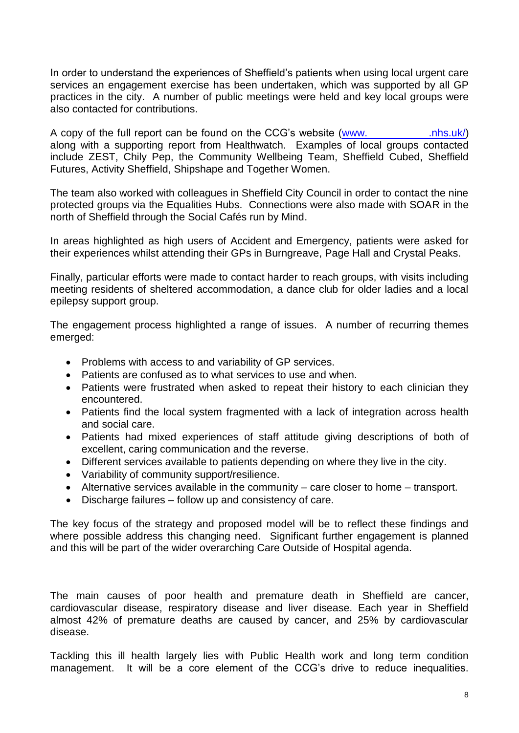## 2.2 Patient Experiences of Using Existing Services

In order to understand the experiences of Sheffield's patients when using local urgent care services an engagement exercise has been undertaken, which was supported by all GP practices in the city. A number of public meetings were held and key local groups were also contacted for contributions.

A copy of the full report can be found on the CCG's website [\(www.sheffieldccg](http://www.sheffieldccg.nhs.uk/) .nhs.uk/) along with a supporting report from Healthwatch. Examples of local groups contacted include ZEST, Chily Pep, the Community Wellbeing Team, Sheffield Cubed, Sheffield Futures, Activity Sheffield, Shipshape and Together Women.

 protected groups via the Equalities Hubs. Connections were also made with SOAR in the north of Sheffield through the Social Cafés run by Mind. The team also worked with colleagues in Sheffield City Council in order to contact the nine

north of Sheffield through the Social Cafés run by Mind.<br>In areas highlighted as high users of Accident and Emergency, patients were asked for their experiences whilst attending their GPs in Burngreave, Page Hall and Crystal Peaks.

 Finally, particular efforts were made to contact harder to reach groups, with visits including meeting residents of sheltered accommodation, a dance club for older ladies and a local epilepsy support group.

 The engagement process highlighted a range of issues. A number of recurring themes emerged:

- Problems with access to and variability of GP services.
- Patients are confused as to what services to use and when.
- Patients were frustrated when asked to repeat their history to each clinician they encountered.
- $\bullet$ Patients find the local system fragmented with a lack of integration across health and social care.
- Patients had mixed experiences of staff attitude giving descriptions of both of excellent, caring communication and the reverse.
- Different services available to patients depending on where they live in the city.
- Variability of community support/resilience.
- $\bullet$  Alternative services available in the community  $-$  care closer to home  $-$  transport.
- $\bullet$  Discharge failures  $-$  follow up and consistency of care.

 The key focus of the strategy and proposed model will be to reflect these findings and where possible address this changing need. Significant further engagement is planned and this will be part of the wider overarching Care Outside of Hospital agenda.

## 2.3 Health Needs in Sheffie ld

 The main causes of poor health and premature death in Sheffield are cancer, cardiovascular disease, respiratory disease and liver disease. Each year in Sheffield almost 42% of premature deaths are caused by cancer, and 25% by cardiovascular disease.

 Tackling this ill health largely lies with Public Health work and long term condition management. It will be a core element of the CCG's drive to reduce inequalities.